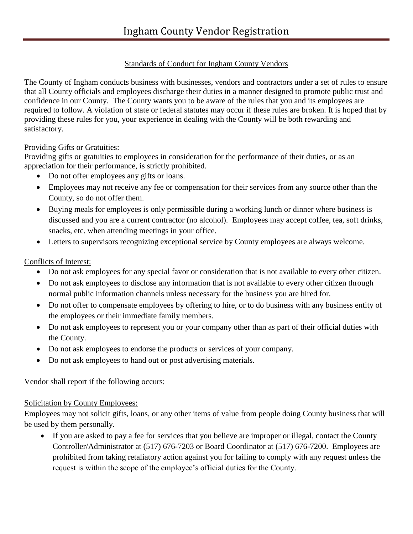# Standards of Conduct for Ingham County Vendors

The County of Ingham conducts business with businesses, vendors and contractors under a set of rules to ensure that all County officials and employees discharge their duties in a manner designed to promote public trust and confidence in our County. The County wants you to be aware of the rules that you and its employees are required to follow. A violation of state or federal statutes may occur if these rules are broken. It is hoped that by providing these rules for you, your experience in dealing with the County will be both rewarding and satisfactory.

#### Providing Gifts or Gratuities:

Providing gifts or gratuities to employees in consideration for the performance of their duties, or as an appreciation for their performance, is strictly prohibited.

- Do not offer employees any gifts or loans.
- Employees may not receive any fee or compensation for their services from any source other than the County, so do not offer them.
- Buying meals for employees is only permissible during a working lunch or dinner where business is discussed and you are a current contractor (no alcohol). Employees may accept coffee, tea, soft drinks, snacks, etc. when attending meetings in your office.
- Letters to supervisors recognizing exceptional service by County employees are always welcome.

# Conflicts of Interest:

- Do not ask employees for any special favor or consideration that is not available to every other citizen.
- Do not ask employees to disclose any information that is not available to every other citizen through normal public information channels unless necessary for the business you are hired for.
- Do not offer to compensate employees by offering to hire, or to do business with any business entity of the employees or their immediate family members.
- Do not ask employees to represent you or your company other than as part of their official duties with the County.
- Do not ask employees to endorse the products or services of your company.
- Do not ask employees to hand out or post advertising materials.

Vendor shall report if the following occurs:

# Solicitation by County Employees:

Employees may not solicit gifts, loans, or any other items of value from people doing County business that will be used by them personally.

 If you are asked to pay a fee for services that you believe are improper or illegal, contact the County Controller/Administrator at (517) 676-7203 or Board Coordinator at (517) 676-7200. Employees are prohibited from taking retaliatory action against you for failing to comply with any request unless the request is within the scope of the employee's official duties for the County.